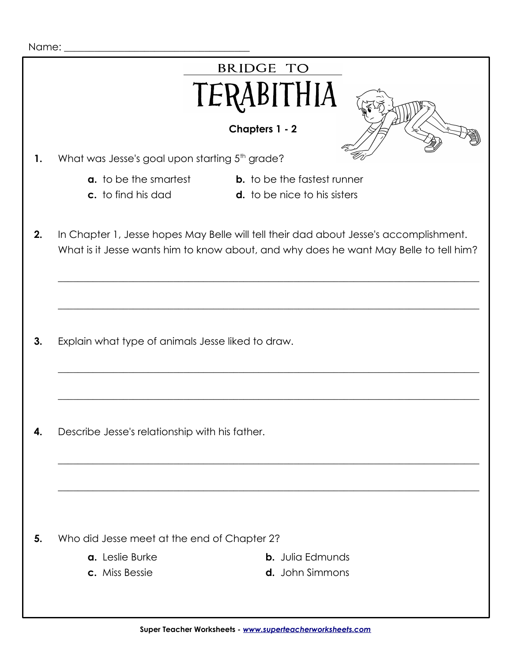| Name: |                                                                                                                                                                                |
|-------|--------------------------------------------------------------------------------------------------------------------------------------------------------------------------------|
|       | <b>BRIDGE TO</b>                                                                                                                                                               |
|       | TERABITHIA                                                                                                                                                                     |
|       | Chapters 1 - 2                                                                                                                                                                 |
| 1.    | What was Jesse's goal upon starting 5 <sup>th</sup> grade?                                                                                                                     |
|       | <b>a.</b> to be the smartest<br><b>b.</b> to be the fastest runner<br>c. to find his dad<br><b>d.</b> to be nice to his sisters                                                |
|       |                                                                                                                                                                                |
| 2.    | In Chapter 1, Jesse hopes May Belle will tell their dad about Jesse's accomplishment.<br>What is it Jesse wants him to know about, and why does he want May Belle to tell him? |
|       |                                                                                                                                                                                |
|       |                                                                                                                                                                                |
|       |                                                                                                                                                                                |
| 3.    | Explain what type of animals Jesse liked to draw.                                                                                                                              |
|       |                                                                                                                                                                                |
|       |                                                                                                                                                                                |
|       |                                                                                                                                                                                |
| 4.    | Describe Jesse's relationship with his father.                                                                                                                                 |
|       |                                                                                                                                                                                |
|       |                                                                                                                                                                                |
|       |                                                                                                                                                                                |
| 5.    | Who did Jesse meet at the end of Chapter 2?                                                                                                                                    |
|       | a. Leslie Burke<br><b>b.</b> Julia Edmunds                                                                                                                                     |
|       | c. Miss Bessie<br>d. John Simmons                                                                                                                                              |
|       |                                                                                                                                                                                |